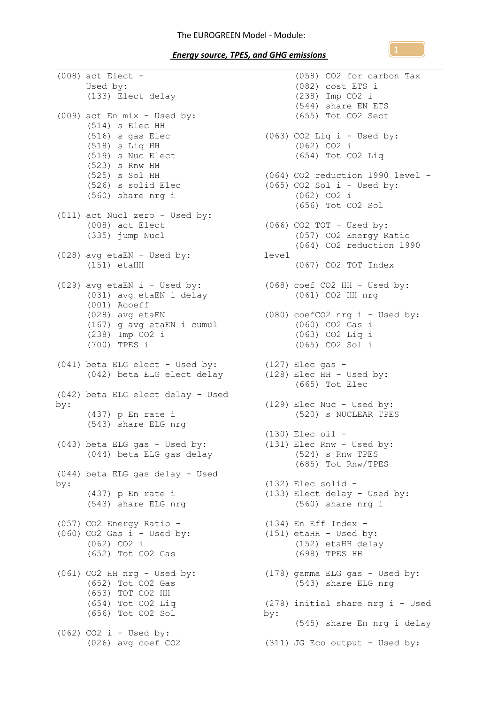(008) act Elect  $-$ Used by: (133) Elect delay (009) act En mix - Used by: (514) s Elec HH (516) s gas Elec (518) s Liq HH (519) s Nuc Elect  $(523)$  s Rnw HH (525) s Sol HH (526) s solid Elec (560) share nrg i (011) act Nucl zero - Used by: (008) act Elect (335) jump Nucl (028) avg etaEN - Used by: level (151) etaHH (029) avg etaEN i - Used by: (031) avg etaEN i delay (001) Acoeff (028) avg etaEN (167) g avg etaEN i cumul (238) Imp CO2 i (700) TPES i (041) beta ELG elect - Used by: (042) beta ELG elect delay (042) beta ELG elect delay - Used by: (437) p En rate i (543) share ELG nrg (043) beta ELG gas - Used by: (044) beta ELG gas delay (044) beta ELG gas delay - Used by: (437) p En rate i (543) share ELG nrg (057) CO2 Energy Ratio -  $(060)$  CO2 Gas i - Used by: (062) CO2 i (652) Tot CO2 Gas (061) CO2 HH nrg - Used by: (178) gamma ELG gas - Used by: (652) Tot CO2 Gas (653) TOT CO2 HH (654) Tot CO2 Liq (656) Tot CO2 Sol  $(062)$  CO2 i - Used by:

(026) avg coef CO2 (311) JG Eco output - Used by:(058) CO2 for carbon Tax (082) cost ETS i (238) Imp CO2 i (544) share EN ETS (655) Tot CO2 Sect  $(063)$  CO2 Liq i - Used by: (062) CO2 i (654) Tot CO2 Liq (064) CO2 reduction 1990 level -  $(065)$  CO2 Sol i - Used by: (062) CO2 i (656) Tot CO2 Sol (066) CO2 TOT - Used by: (057) CO2 Energy Ratio (064) CO2 reduction 1990 (067) CO2 TOT Index (068) coef CO2 HH - Used by: (061) CO2 HH nrg (080) coefCO2 nrg i - Used by: (060) CO2 Gas i (063) CO2 Liq i (065) CO2 Sol i (127) Elec gas - (128) Elec HH - Used by: (665) Tot Elec (129) Elec Nuc - Used by: (520) s NUCLEAR TPES (130) Elec oil - (131) Elec Rnw - Used by: (524) s Rnw TPES (685) Tot Rnw/TPES (132) Elec solid - (133) Elect delay - Used by: (560) share nrg i (134) En Eff Index -  $(151)$  etaHH - Used by: (152) etaHH delay (698) TPES HH (543) share ELG nrg (278) initial share nrg i - Used by: (545) share En nrg i delay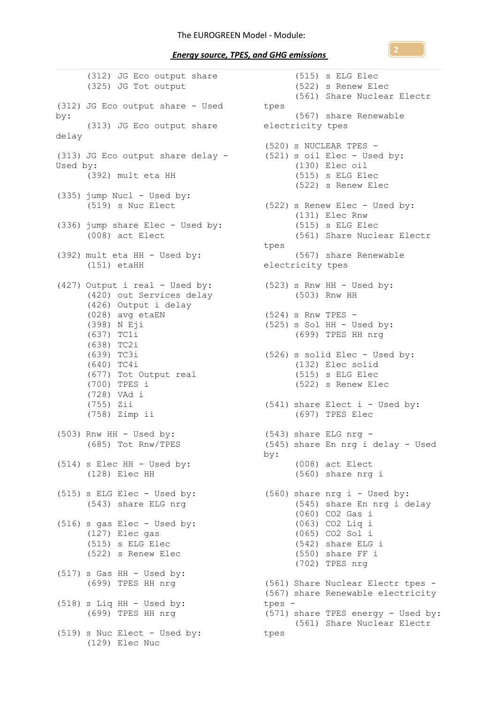*Energy source, TPES, and GHG emissions* 

(312) JG Eco output share (325) JG Tot output (312) JG Eco output share - Used tpes by: (313) JG Eco output share electricity tpes delay (313) JG Eco output share delay - Used by: (392) mult eta HH (335) jump Nucl - Used by: (519) s Nuc Elect (336) jump share Elec - Used by: (008) act Elect (392) mult eta HH - Used by: (151) etaHH (427) Output i real - Used by: (523) s Rnw HH - Used by: (420) out Services delay (426) Output i delay (028) avg etaEN (398) N Eji (637) TC1i (638) TC2i (639) TC3i (640) TC4i (677) Tot Output real (700) TPES i (728) VAd i (755) Zii (758) Zimp ii  $(503)$  Rnw HH - Used by: (685) Tot Rnw/TPES (514) s Elec HH - Used by: (128) Elec HH (515) s ELG Elec - Used by: (543) share ELG nrg (516) s gas Elec - Used by: (127) Elec gas (515) s ELG Elec (522) s Renew Elec  $(517)$  s Gas HH - Used by: (699) TPES HH nrg  $(518)$  s Liq HH - Used by: (699) TPES HH nrg (519) s Nuc Elect - Used by: tpes(129) Elec Nuc

(515) s ELG Elec (522) s Renew Elec (561) Share Nuclear Electr (567) share Renewable (520) s NUCLEAR TPES - (521) s oil Elec - Used by: (130) Elec oil (515) s ELG Elec (522) s Renew Elec (522) s Renew Elec - Used by: (131) Elec Rnw (515) s ELG Elec (561) Share Nuclear Electr tpes (567) share Renewable electricity tpes (503) Rnw HH (524) s Rnw TPES -  $(525)$  s Sol HH - Used by: (699) TPES HH nrg (526) s solid Elec - Used by: (132) Elec solid (515) s ELG Elec (522) s Renew Elec (541) share Elect i - Used by: (697) TPES Elec (543) share ELG nrg - (545) share En nrg i delay - Used by: (008) act Elect (560) share nrg i (560) share nrg i - Used by: (545) share En nrg i delay (060) CO2 Gas i (063) CO2 Liq i (065) CO2 Sol i (542) share ELG i (550) share FF i (702) TPES nrg (561) Share Nuclear Electr tpes - (567) share Renewable electricity tpes - (571) share TPES energy - Used by: (561) Share Nuclear Electr